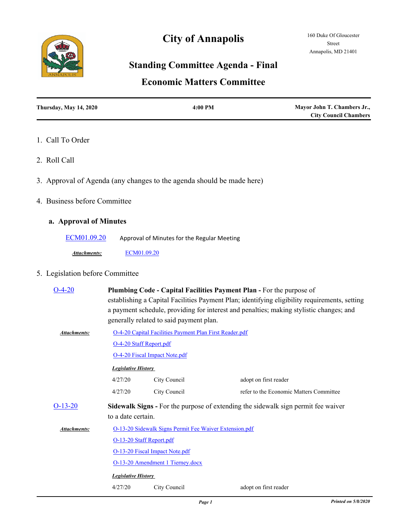# **City of Annapolis**



# **Standing Committee Agenda - Final**

## **Economic Matters Committee**

| <b>Thursday, May 14, 2020</b> | $4:00 \text{ PM}$ | Mayor John T. Chambers Jr.,  |
|-------------------------------|-------------------|------------------------------|
|                               |                   | <b>City Council Chambers</b> |

#### 1. Call To Order

- 2. Roll Call
- 3. Approval of Agenda (any changes to the agenda should be made here)
- 4. Business before Committee

### **a. Approval of Minutes**

[ECM01.09.20](http://annapolismd.legistar.com/gateway.aspx?m=l&id=/matter.aspx?key=4625) Approval of Minutes for the Regular Meeting

*Attachments:* [ECM01.09.20](http://annapolismd.legistar.com/gateway.aspx?M=F&ID=9ba66e36-b161-4c65-b314-fab75364ffa3.pdf)

### 5. Legislation before Committee

| $O-4-20$     | Plumbing Code - Capital Facilities Payment Plan - For the purpose of<br>establishing a Capital Facilities Payment Plan; identifying eligibility requirements, setting<br>a payment schedule, providing for interest and penalties; making stylistic changes; and<br>generally related to said payment plan. |                                                                                          |                                         |  |  |  |
|--------------|-------------------------------------------------------------------------------------------------------------------------------------------------------------------------------------------------------------------------------------------------------------------------------------------------------------|------------------------------------------------------------------------------------------|-----------------------------------------|--|--|--|
| Attachments: |                                                                                                                                                                                                                                                                                                             | O-4-20 Capital Facilities Payment Plan First Reader.pdf                                  |                                         |  |  |  |
|              |                                                                                                                                                                                                                                                                                                             | O-4-20 Staff Report.pdf                                                                  |                                         |  |  |  |
|              |                                                                                                                                                                                                                                                                                                             | <b>O-4-20 Fiscal Impact Note.pdf</b>                                                     |                                         |  |  |  |
|              | <b>Legislative History</b>                                                                                                                                                                                                                                                                                  |                                                                                          |                                         |  |  |  |
|              | 4/27/20                                                                                                                                                                                                                                                                                                     | City Council                                                                             | adopt on first reader                   |  |  |  |
|              | 4/27/20                                                                                                                                                                                                                                                                                                     | City Council                                                                             | refer to the Economic Matters Committee |  |  |  |
| $O-13-20$    |                                                                                                                                                                                                                                                                                                             | <b>Sidewalk Signs</b> - For the purpose of extending the sidewalk sign permit fee waiver |                                         |  |  |  |
|              | to a date certain.                                                                                                                                                                                                                                                                                          |                                                                                          |                                         |  |  |  |
| Attachments: | O-13-20 Sidewalk Signs Permit Fee Waiver Extension.pdf                                                                                                                                                                                                                                                      |                                                                                          |                                         |  |  |  |
|              |                                                                                                                                                                                                                                                                                                             | O-13-20 Staff Report.pdf                                                                 |                                         |  |  |  |
|              |                                                                                                                                                                                                                                                                                                             | O-13-20 Fiscal Impact Note.pdf                                                           |                                         |  |  |  |
|              |                                                                                                                                                                                                                                                                                                             | O-13-20 Amendment 1 Tierney.docx                                                         |                                         |  |  |  |
|              | <b>Legislative History</b>                                                                                                                                                                                                                                                                                  |                                                                                          |                                         |  |  |  |
|              | 4/27/20                                                                                                                                                                                                                                                                                                     | City Council                                                                             | adopt on first reader                   |  |  |  |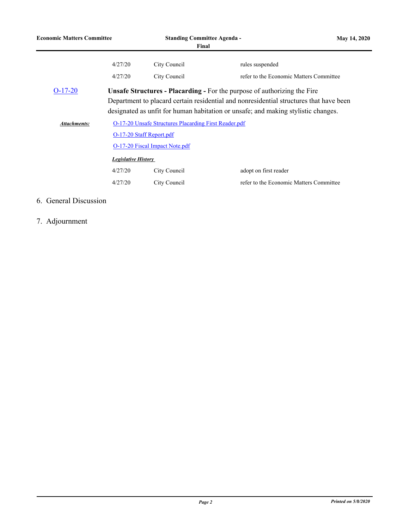| <b>Economic Matters Committee</b> |                                                                                                                                                                                                                                                                | <b>Standing Committee Agenda -</b><br>Final |                                                                  | <b>May 14, 2020</b> |  |  |
|-----------------------------------|----------------------------------------------------------------------------------------------------------------------------------------------------------------------------------------------------------------------------------------------------------------|---------------------------------------------|------------------------------------------------------------------|---------------------|--|--|
|                                   | 4/27/20                                                                                                                                                                                                                                                        | City Council                                | rules suspended                                                  |                     |  |  |
|                                   | 4/27/20                                                                                                                                                                                                                                                        | City Council                                | refer to the Economic Matters Committee                          |                     |  |  |
| $O-17-20$                         | <b>Unsafe Structures - Placarding - For the purpose of authorizing the Fire</b><br>Department to placard certain residential and nonresidential structures that have been<br>designated as unfit for human habitation or unsafe; and making stylistic changes. |                                             |                                                                  |                     |  |  |
| <b>Attachments:</b>               | O-17-20 Unsafe Structures Placarding First Reader.pdf<br>O-17-20 Staff Report.pdf<br>O-17-20 Fiscal Impact Note.pdf<br><b>Legislative History</b>                                                                                                              |                                             |                                                                  |                     |  |  |
|                                   | 4/27/20<br>4/27/20                                                                                                                                                                                                                                             | City Council<br>City Council                | adopt on first reader<br>refer to the Economic Matters Committee |                     |  |  |

## 6. General Discussion

7. Adjournment